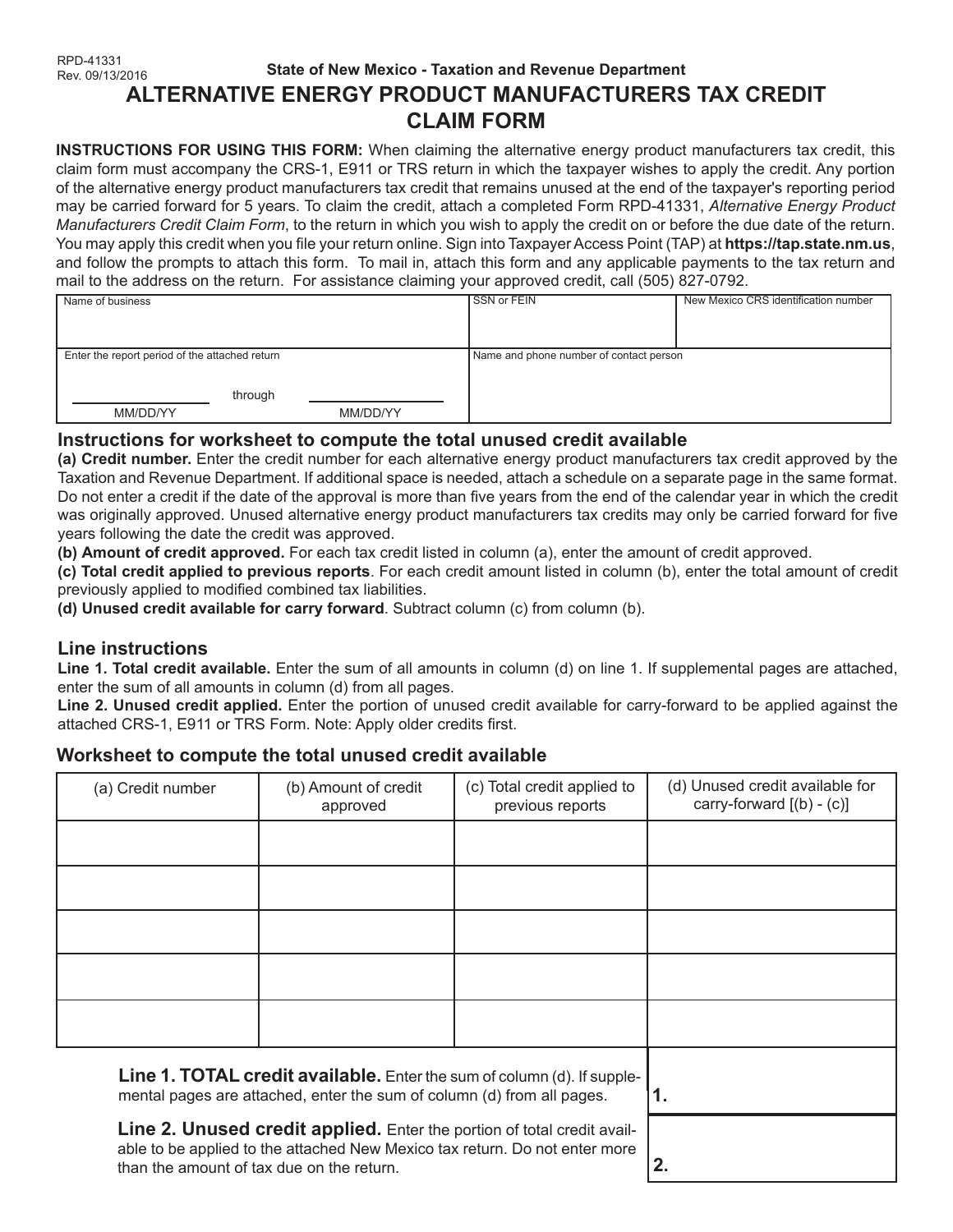#### RPD-41331 Rev. 09/13/2016 **State of New Mexico - Taxation and Revenue Department ALTERNATIVE ENERGY PRODUCT MANUFACTURERS TAX CREDIT CLAIM FORM**

**INSTRUCTIONS FOR USING THIS FORM:** When claiming the alternative energy product manufacturers tax credit, this claim form must accompany the CRS-1, E911 or TRS return in which the taxpayer wishes to apply the credit. Any portion of the alternative energy product manufacturers tax credit that remains unused at the end of the taxpayer's reporting period may be carried forward for 5 years. To claim the credit, attach a completed Form RPD-41331, *Alternative Energy Product Manufacturers Credit Claim Form*, to the return in which you wish to apply the credit on or before the due date of the return. You may apply this credit when you file your return online. Sign into Taxpayer Access Point (TAP) at **https://tap.state.nm.us**, and follow the prompts to attach this form. To mail in, attach this form and any applicable payments to the tax return and mail to the address on the return. For assistance claiming your approved credit, call (505) 827-0792.

| - -<br>.                                       |          |                                         |                                      |  |
|------------------------------------------------|----------|-----------------------------------------|--------------------------------------|--|
| Name of business                               |          | SSN or FEIN                             | New Mexico CRS identification number |  |
|                                                |          |                                         |                                      |  |
|                                                |          |                                         |                                      |  |
|                                                |          |                                         |                                      |  |
|                                                |          |                                         |                                      |  |
|                                                |          |                                         |                                      |  |
| Enter the report period of the attached return |          | Name and phone number of contact person |                                      |  |
|                                                |          |                                         |                                      |  |
|                                                |          |                                         |                                      |  |
|                                                |          |                                         |                                      |  |
| through                                        |          |                                         |                                      |  |
|                                                |          |                                         |                                      |  |
| MM/DD/YY                                       | MM/DD/YY |                                         |                                      |  |
|                                                |          |                                         |                                      |  |

# **Instructions for worksheet to compute the total unused credit available**

**(a) Credit number.** Enter the credit number for each alternative energy product manufacturers tax credit approved by the Taxation and Revenue Department. If additional space is needed, attach a schedule on a separate page in the same format. Do not enter a credit if the date of the approval is more than five years from the end of the calendar year in which the credit was originally approved. Unused alternative energy product manufacturers tax credits may only be carried forward for five years following the date the credit was approved.

**(b) Amount of credit approved.** For each tax credit listed in column (a), enter the amount of credit approved.

**(c) Total credit applied to previous reports**. For each credit amount listed in column (b), enter the total amount of credit previously applied to modified combined tax liabilities.

**(d) Unused credit available for carry forward**. Subtract column (c) from column (b).

# **Line instructions**

**Line 1. Total credit available.** Enter the sum of all amounts in column (d) on line 1. If supplemental pages are attached, enter the sum of all amounts in column (d) from all pages.

**Line 2. Unused credit applied.** Enter the portion of unused credit available for carry-forward to be applied against the attached CRS-1, E911 or TRS Form. Note: Apply older credits first.

# **Worksheet to compute the total unused credit available**

| (a) Credit number                                                                                                                                 | (b) Amount of credit<br>approved | (c) Total credit applied to<br>previous reports | (d) Unused credit available for<br>carry-forward $[(b) - (c)]$ |
|---------------------------------------------------------------------------------------------------------------------------------------------------|----------------------------------|-------------------------------------------------|----------------------------------------------------------------|
|                                                                                                                                                   |                                  |                                                 |                                                                |
|                                                                                                                                                   |                                  |                                                 |                                                                |
|                                                                                                                                                   |                                  |                                                 |                                                                |
|                                                                                                                                                   |                                  |                                                 |                                                                |
|                                                                                                                                                   |                                  |                                                 |                                                                |
| Line 1. TOTAL credit available. Enter the sum of column (d). If supple-<br>mental pages are attached, enter the sum of column (d) from all pages. |                                  |                                                 | 1.                                                             |

**Line 2. Unused credit applied.** Enter the portion of total credit available to be applied to the attached New Mexico tax return. Do not enter more than the amount of tax due on the return.

**2.**